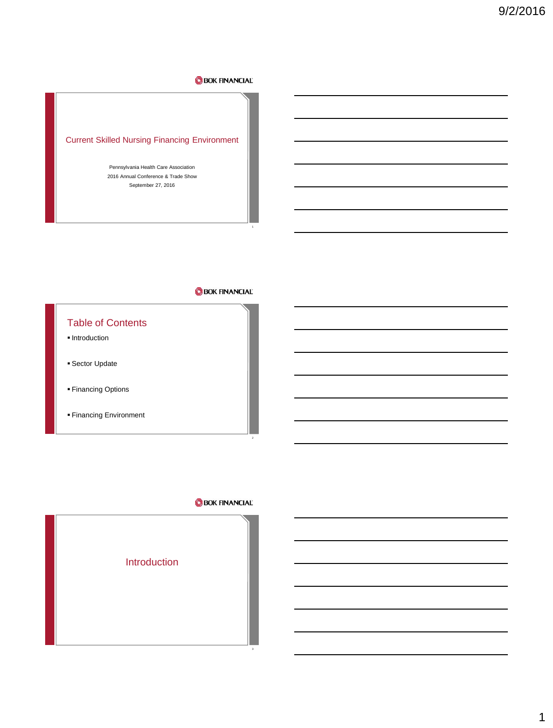# Current Skilled Nursing Financing Environment

Pennsylvania Health Care Association 2016 Annual Conference & Trade Show September 27, 2016

# **BOK FINANCIAL**

1

# Table of Contents

- **Introduction**
- Sector Update
- **Financing Options**
- Financing Environment

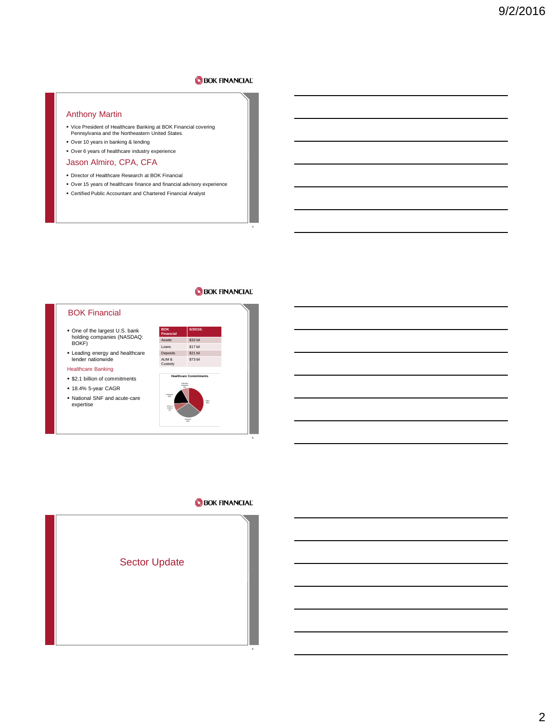### Anthony Martin

- Vice President of Healthcare Banking at BOK Financial covering Pennsylvania and the Northeastern United States.
- Over 10 years in banking & lending Over 6 years of healthcare industry experience
- Jason Almiro, CPA, CFA
- Director of Healthcare Research at BOK Financial
- Over 15 years of healthcare finance and financial advisory experience
- Certified Public Accountant and Chartered Financial Analyst

# **BOK FINANCIAL**

4

#### BOK Financial

- One of the largest U.S. bank holding companies (NASDAQ: BOKF)
- Leading energy and healthcare lender nationwide

#### Healthcare Banking

- **\$2.1 billion of commitments**
- 18.4% 5-year CAGR
- National SNF and acute-care expertise



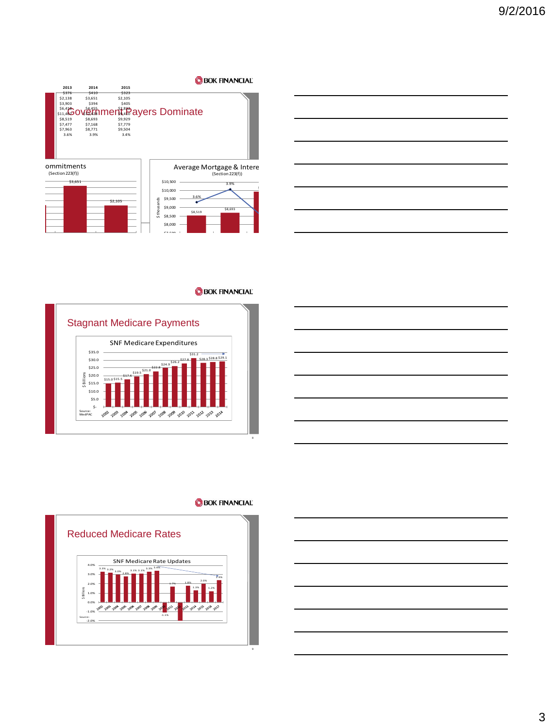



### **BOK FINANCIAL**







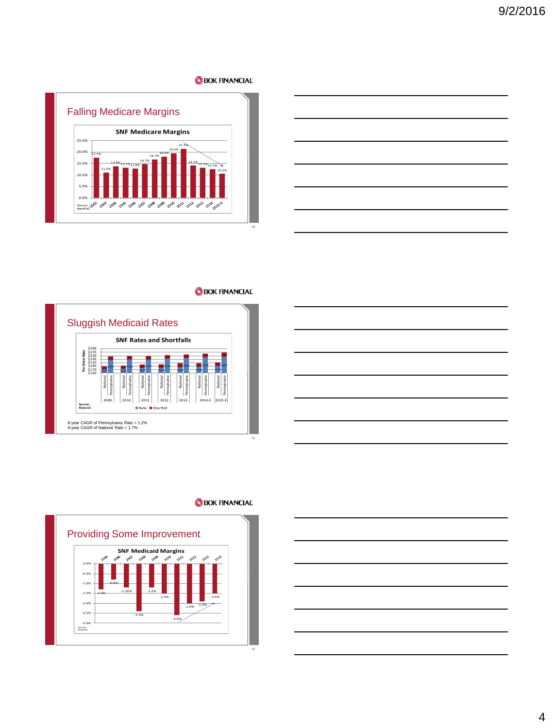









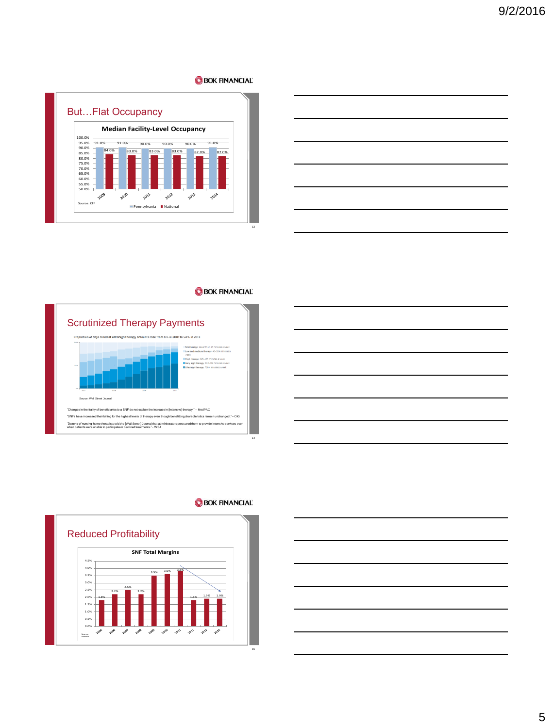

|  |  | _______ |
|--|--|---------|
|  |  |         |
|  |  |         |
|  |  |         |
|  |  |         |
|  |  |         |







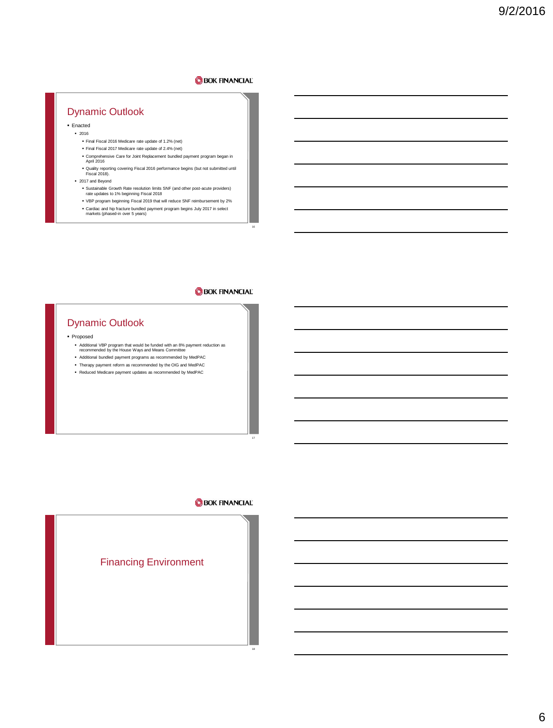# Dynamic Outlook

- Enacted 2016
	- Final Fiscal 2016 Medicare rate update of 1.2% (net)
	- Final Fiscal 2017 Medicare rate update of 2.4% (net)
	- Comprehensive Care for Joint Replacement bundled payment program began in April 2016
	- Quality reporting covering Fiscal 2016 performance begins (but not submitted until Fiscal 2018).
	- 2017 and Beyond
		- Sustainable Growth Rate resolution limits SNF (and other post-acute providers) rate updates to 1% beginning Fiscal 2018
		- VBP program beginning Fiscal 2019 that will reduce SNF reimbursement by 2%
		- Cardiac and hip fracture bundled payment program begins July 2017 in select markets (phased-in over 5 years)

# **BOK FINANCIAL**

16

# Dynamic Outlook

Proposed

- Additional VBP program that would be funded with an 8% payment reduction as recommended by the House Ways and Means Committee
- Additional bundled payment programs as recommended by MedPAC
- Therapy payment reform as recommended by the OIG and MedPAC
- Reduced Medicare payment updates as recommended by MedPAC

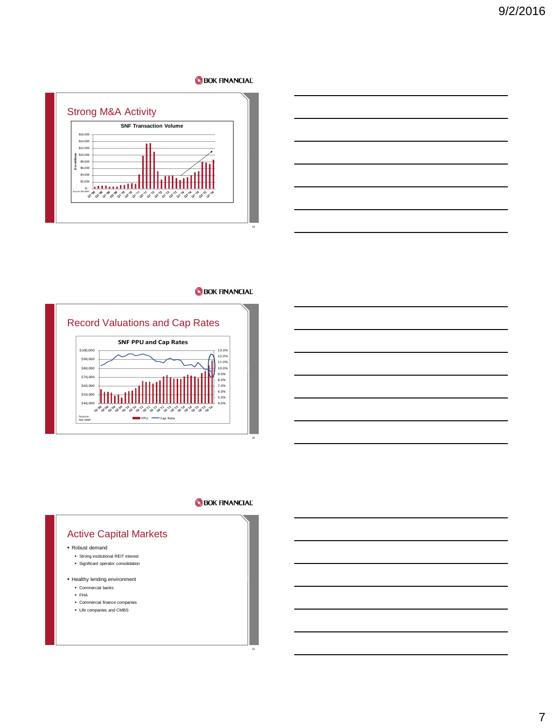

**BOK FINANCIAL** 



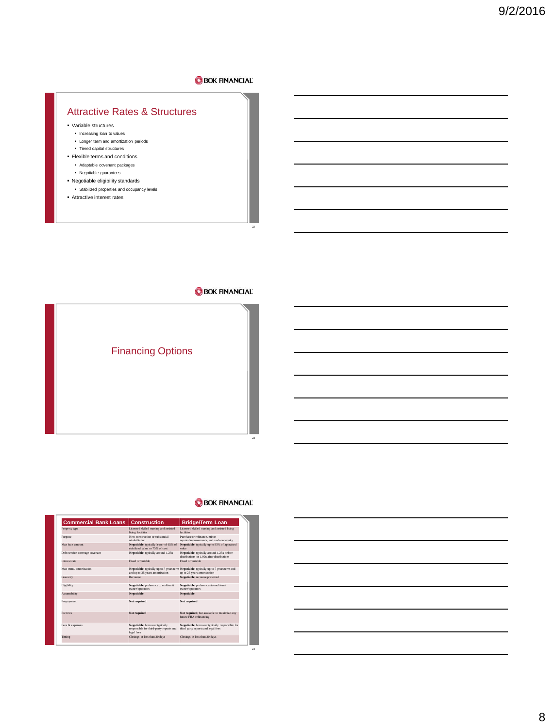# Attractive Rates & Structures

- Variable structures
	- Increasing loan to values
	- **Longer term and amortization periods** Tiered capital structures
- Flexible terms and conditions
- Adaptable covenant packages
- Negotiable guarantees
- 
- Negotiable eligibility standards Stabilized properties and occupancy levels
- Attractive interest rates

# **BOK FINANCIAL**

22



#### **BOK FINANCIAL**

24

| <b>Commercial Bank Loans</b>   | <b>Construction</b>                                                                     | <b>Bridge/Term Loan</b>                                                                                              |
|--------------------------------|-----------------------------------------------------------------------------------------|----------------------------------------------------------------------------------------------------------------------|
| Property type                  | Licensed skilled nursing and assisted<br>living facilities                              | Licensed skilled nursing and assisted living<br>facilities                                                           |
| Purpose                        | New construction or substantial<br>rehabilitation                                       | Purchase or refinance minor<br>repairs/improvements, and cash-out equity                                             |
| Max loan amount                | Negotiable: typically lesser of 65% of<br>stabilized value or 75% of cost               | Negotiable: typically up to 85% of appraised<br>value                                                                |
| Debt service coverage covenant | Negotiable: typically around 1.25x                                                      | Negotiable: typically around 1.25x before<br>distributions or 1.00x after distributions.                             |
| Interest rate                  | Fixed or variable.                                                                      | Fixed or variable.                                                                                                   |
| Max term / amortization        | and up to 25 years amortization                                                         | Negotiable; typically up to 7 years term Negotiable; typically up to 7 years term and<br>up to 25 years amortization |
| Guaranty                       | Recourse                                                                                | Negotiable: recourse preferred                                                                                       |
| Eligibility                    | Negotiable: preference to multi-unit<br>owner/operators                                 | Negotiable: preferences to multi-unit<br>owner/operators                                                             |
| Assumability                   | <b>Negotiable</b>                                                                       | Negotiable                                                                                                           |
| Prepayment                     | Not required                                                                            | Not required                                                                                                         |
| Escrows                        | Not required                                                                            | Not required, but available to maximize any<br>future FHA refinancing                                                |
| Fees & expanses                | Negotiable: borrower typically<br>responsible for third-party reports and<br>legal fees | Negotiable: borrower typically responsible for<br>third party reports and legal fees                                 |
| Timing                         | Closings in less than 30 days                                                           | Closings in less than 30 days                                                                                        |

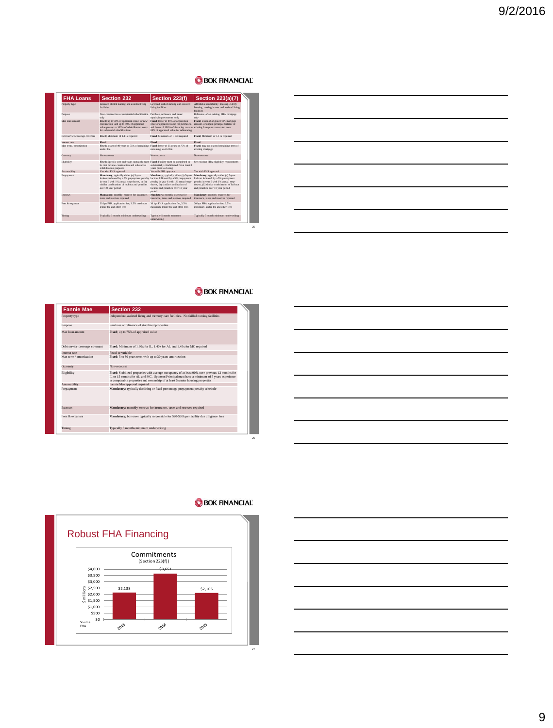| <b>FHA Loans</b>               | Section 232                                                                                                                                                                                                                                     | Section 223(f)                                                                                                                                                                                            | <b>Section 223(a)(7)</b>                                                                                                                                                                                  |
|--------------------------------|-------------------------------------------------------------------------------------------------------------------------------------------------------------------------------------------------------------------------------------------------|-----------------------------------------------------------------------------------------------------------------------------------------------------------------------------------------------------------|-----------------------------------------------------------------------------------------------------------------------------------------------------------------------------------------------------------|
| Property type                  | Licensed skilled nursing and assisted living<br><b>Genilding</b>                                                                                                                                                                                | Licensed skilled nursing and assisted<br>living facilities.                                                                                                                                               | Affordable multifamily housing, elderly<br>housing, nursing homes and assisted Eving<br>for ildies                                                                                                        |
| Purpose                        | New construction or substantial rehabilitation<br>only                                                                                                                                                                                          | Parchase, refinance and minor<br>renairs/improvements_only                                                                                                                                                | Refinance of an existing FHA mortgage<br>only                                                                                                                                                             |
| May loon answer                | Fixed: up to 90% of appraised value for new<br>construction, and up to 90% of appraised<br>value plus up to 100% of rehabilitation costs.<br>for substantial rehabilitations                                                                    | Fixed: lesser of 85% of acquisition<br>price or appraised value for purchases.<br>and lesser of 100% of financing costs or existing loan plus transaction costs<br>85% of appeaised value for refinancing | Fixed: lesser of original FHA mortgage<br>amount, or unpaid principal balance of                                                                                                                          |
| Debt service coverage coverant | Fixed; Minimum of 1.11x required                                                                                                                                                                                                                | Fixed: Minimum of 1.17x required                                                                                                                                                                          | Fixed: Minimum of 1.11x required                                                                                                                                                                          |
| <b>Interest rate</b>           | Fixed                                                                                                                                                                                                                                           | Fixed                                                                                                                                                                                                     | Fixed                                                                                                                                                                                                     |
| Max term / amortization        | Fixed: lesser of 40 years or 75% of remaining Fixed: lesser of 35 years or 75% of<br>medal life.                                                                                                                                                | remaining useful life                                                                                                                                                                                     | Fixed: may not exceed remaining term of<br>existing mortgage                                                                                                                                              |
| Guaranty                       | Non-recourse                                                                                                                                                                                                                                    | New economic                                                                                                                                                                                              | Noncomerce                                                                                                                                                                                                |
| Eliribility                    | Fixed: Specific cost and wage standards must<br>be met for new construction and substantial<br>rehabilitation purposes.                                                                                                                         | Fixed: Facility must be completed or<br>substantially rehabilitated for at least 3<br>years prior to closing                                                                                              | See existing FHA eligibility requirements                                                                                                                                                                 |
| Assumability                   | Yes with FHS approval.                                                                                                                                                                                                                          | Yes with FHS annoyal                                                                                                                                                                                      | Yes with FHS approval.                                                                                                                                                                                    |
| Реграушен                      | Mandatory: typically either (a) S-year<br>lockout followed by a 5% prenayment penalty lockout followed by a 5% prepayment<br>in year 6 with 1% annual step-downs, or (b)<br>similar combination of lockout and penalties<br>over 10-year period | Mandatory: typically either (a) 5-year<br>penalty in year 6 with 1% annual step-<br>downs, (b) similar combination of<br>lockout and penalties over 10-year<br>reriod                                     | Mandatory: typically either (a) 5-year<br>lockout followed by a 5% prepayment<br>penalty in year 6 with 1% annual step-<br>downs, (b) similar combination of lockout<br>and penalties over 10-year period |
| <b>Escretaria</b>              | Mandatory: monthly escrows for insurance.<br>taxes and reserves required                                                                                                                                                                        | Mandatory: monthly excrows for<br>insurance, taxes and reserves required                                                                                                                                  | Mandatory: monthly escrows for<br>insurance, taxes and reserves required                                                                                                                                  |
| Fees & expanses                | 30 bps FHA application fee, 3.5% maximum<br>lender for and other ford                                                                                                                                                                           | 30 bes FHA application fee, 3.5%<br>maximum, leader fee and other fees                                                                                                                                    | 30 bos FHA application fee, 3,5%<br>maximum lender fee and other fees                                                                                                                                     |
| Timing                         | Typically 6 months minimum underwriting                                                                                                                                                                                                         | Typically 5 month minimum<br>underwriting                                                                                                                                                                 | Typically 5 month minimum underwriting                                                                                                                                                                    |

| – |  |  |
|---|--|--|
|   |  |  |
|   |  |  |
|   |  |  |
|   |  |  |

# **BOK FINANCIAL**

25

26

| <b>Fannie Mae</b>              | Section 232                                                                                                                                                                                                                                                                     |
|--------------------------------|---------------------------------------------------------------------------------------------------------------------------------------------------------------------------------------------------------------------------------------------------------------------------------|
| Property type                  | Independent, assisted living and memory care facilities. No skilled nursing facilities                                                                                                                                                                                          |
| Purpose                        | Purchase or refinance of stabilized properties                                                                                                                                                                                                                                  |
| Max loan amount                | Fixed; up to 75% of appraised value                                                                                                                                                                                                                                             |
| Debt service coverage covenant | Fixed; Minimum of 1.30x for IL, 1.40x for AL and 1.45x for MC required                                                                                                                                                                                                          |
| Interest rate                  | Fixed or variable                                                                                                                                                                                                                                                               |
| Max term / amortization        | Fixed: 5 to 30 years term with up to 30 years amortization                                                                                                                                                                                                                      |
| Guaranty                       | Non-recourse                                                                                                                                                                                                                                                                    |
| Eligibility                    | Fixed; Stabilized properties with average occupancy of at least 90% over previous 12 months for<br>IL or 15 months for AL and MC. Sponsor/Principal must have a minimum of 5 years experience<br>in comparable properties and ownership of at least 5 senior housing properties |
| Assumability                   | Fannie Mae approval required                                                                                                                                                                                                                                                    |
| Prepayment                     | Mandatory: typically declining or fixed-percentage prepayment penalty schedule                                                                                                                                                                                                  |
| Escrows                        | Mandatory; monthly escrows for insurance, taxes and reserves required                                                                                                                                                                                                           |
| Fees & expanses                | Mandatory; borrower typically responsible for \$20-\$30k per facility due diligence fees                                                                                                                                                                                        |
| Timing                         | Typically 5 months minimum underwriting                                                                                                                                                                                                                                         |







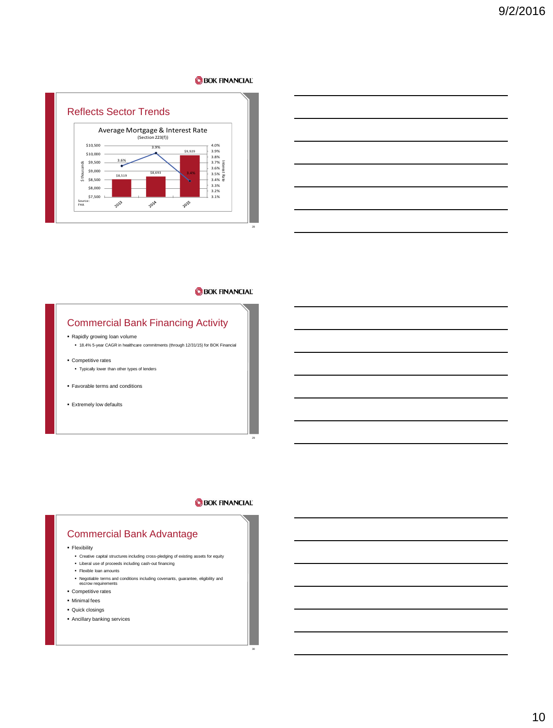

|  |  | <u> 1989 - Andrea Andrew Maria (h. 1989).</u>                                                                         |
|--|--|-----------------------------------------------------------------------------------------------------------------------|
|  |  | <u> 1989 - Andrea Station Barbara, actor a component de la componentación de la componentación de la componentaci</u> |
|  |  | <u> 1989 - Johann Stoff, Amerikaansk politiker (* 1908)</u>                                                           |
|  |  | <u> 1989 - Johann Barn, amerikansk politiker (d. 1989)</u>                                                            |
|  |  | <u> 1989 - Johann Stoff, amerikansk politiker (d. 1989)</u>                                                           |
|  |  |                                                                                                                       |

# **BOK FINANCIAL**

# Commercial Bank Financing Activity

- Rapidly growing loan volume
- 18.4% 5-year CAGR in healthcare commitments (through 12/31/15) for BOK Financial
- Competitive rates
	- Typically lower than other types of lenders
- Favorable terms and conditions
- Extremely low defaults

### **BOK FINANCIAL**

29

30

# Commercial Bank Advantage

**Flexibility** 

- Creative capital structures including cross-pledging of existing assets for equity
- Liberal use of proceeds including cash-out financing
- Flexible loan amounts
- Negotiable terms and conditions including covenants, guarantee, eligibility and escrow requirements
- Competitive rates
- Minimal fees
- 
- Quick closings
- Ancillary banking services